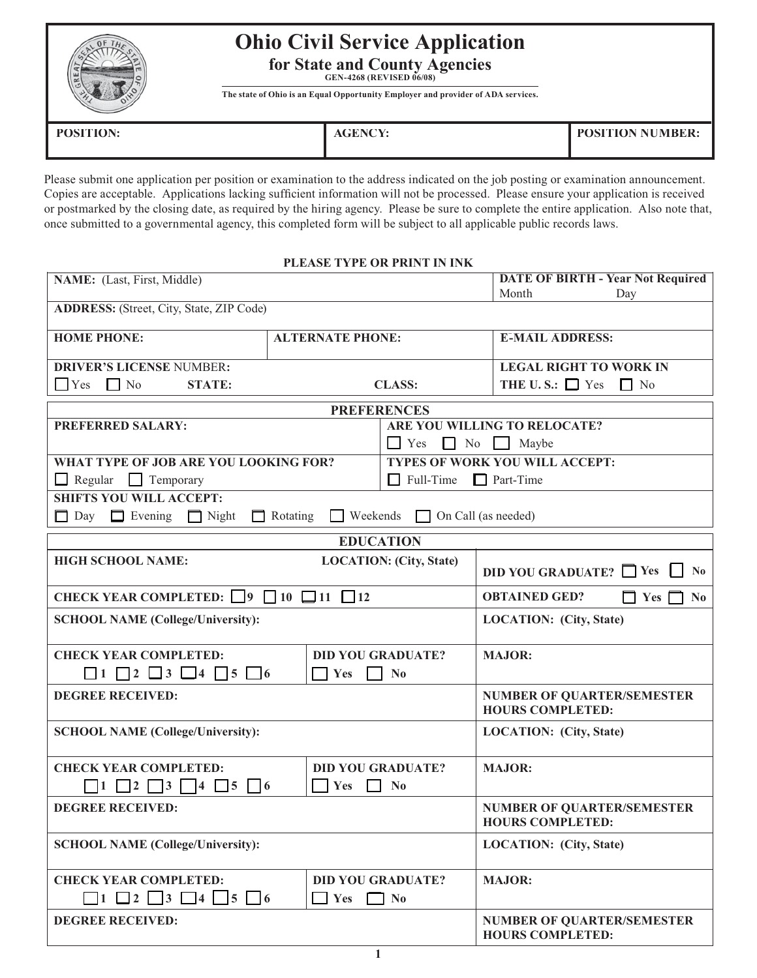## **Ohio Civil Service Application**

**for State and County Agencies GEN-4268 (REVISED 06/08)**

**The state of Ohio is an Equal Opportunity Employer and provider of ADA services.**

| <b>POSITION:</b> | <b>AGENCY.</b><br>$\Lambda$ | POSITION NUMBER: |
|------------------|-----------------------------|------------------|
|                  |                             |                  |

Please submit one application per position or examination to the address indicated on the job posting or examination announcement. or postmarked by the closing date, as required by the hiring agency. Please be sure to complete the entire application. Also note that, once submitted to a governmental agency, this completed form will be subject to all applicable public records laws. Copies are acceptable. Applications lacking sufficient information will not be processed. Please ensure your application is received

## **PLEASE TYPE OR PRINT IN INK PLEASE TYPE OR PRINT IN INK**

| NAME: (Last, First, Middle)                                                                   |                                        |                                                              | <b>DATE OF BIRTH - Year Not Required</b>                            |
|-----------------------------------------------------------------------------------------------|----------------------------------------|--------------------------------------------------------------|---------------------------------------------------------------------|
|                                                                                               |                                        | Month<br>Day                                                 |                                                                     |
| <b>ADDRESS:</b> (Street, City, State, ZIP Code)                                               |                                        |                                                              |                                                                     |
| <b>HOME PHONE:</b>                                                                            | <b>ALTERNATE PHONE:</b>                |                                                              | <b>E-MAIL ADDRESS:</b>                                              |
| <b>DRIVER'S LICENSE NUMBER:</b>                                                               |                                        |                                                              | <b>LEGAL RIGHT TO WORK IN</b>                                       |
| $\Box$ Yes $\Box$ No<br><b>STATE:</b>                                                         |                                        | <b>CLASS:</b>                                                | THE U.S.: $\Box$ Yes $\Box$ No                                      |
| <b>PREFERENCES</b>                                                                            |                                        |                                                              |                                                                     |
| <b>PREFERRED SALARY:</b>                                                                      |                                        |                                                              | ARE YOU WILLING TO RELOCATE?                                        |
|                                                                                               |                                        | $\Box$ Yes $\Box$ No Maybe                                   |                                                                     |
| WHAT TYPE OF JOB ARE YOU LOOKING FOR?                                                         |                                        |                                                              | <b>TYPES OF WORK YOU WILL ACCEPT:</b>                               |
| $\Box$ Regular<br>$\Box$ Full-Time<br>Temporary                                               |                                        |                                                              | $\Box$ Part-Time                                                    |
| <b>SHIFTS YOU WILL ACCEPT:</b>                                                                |                                        |                                                              |                                                                     |
| $\Box$ Day $\Box$ Evening $\Box$ Night                                                        | $\Box$ Weekends<br>$\Box$ Rotating     | $\Box$ On Call (as needed)                                   |                                                                     |
|                                                                                               |                                        | <b>EDUCATION</b>                                             |                                                                     |
| <b>HIGH SCHOOL NAME:</b>                                                                      |                                        | <b>LOCATION: (City, State)</b>                               | DID YOU GRADUATE? Ps<br>N <sub>0</sub>                              |
| CHECK YEAR COMPLETED: $\Box$ 9 $\Box$ 10 $\Box$ 11 $\Box$ 12                                  |                                        |                                                              | <b>OBTAINED GED?</b><br>$\Box$ Yes $\Box$<br>$\mathbf{N}\mathbf{0}$ |
| <b>SCHOOL NAME (College/University):</b>                                                      |                                        | <b>LOCATION:</b> (City, State)                               |                                                                     |
| <b>CHECK YEAR COMPLETED:</b><br><b>DID YOU GRADUATE?</b>                                      |                                        | <b>MAJOR:</b>                                                |                                                                     |
| $\Box$ 1 $\Box$ 2 $\Box$ 3 $\Box$ 4 $\Box$ 5 $\Box$ 6<br>$\blacksquare$ Yes<br>N <sub>0</sub> |                                        |                                                              |                                                                     |
| <b>DEGREE RECEIVED:</b>                                                                       |                                        |                                                              | <b>NUMBER OF QUARTER/SEMESTER</b><br><b>HOURS COMPLETED:</b>        |
| <b>SCHOOL NAME (College/University):</b>                                                      |                                        |                                                              | LOCATION: (City, State)                                             |
| <b>CHECK YEAR COMPLETED:</b><br><b>DID YOU GRADUATE?</b>                                      |                                        |                                                              | <b>MAJOR:</b>                                                       |
|                                                                                               | Yes $\Box$                             | $\mathbf{N_0}$                                               |                                                                     |
| <b>DEGREE RECEIVED:</b>                                                                       |                                        | <b>NUMBER OF QUARTER/SEMESTER</b><br><b>HOURS COMPLETED:</b> |                                                                     |
| <b>SCHOOL NAME (College/University):</b>                                                      |                                        |                                                              | <b>LOCATION:</b> (City, State)                                      |
| <b>CHECK YEAR COMPLETED:</b><br>$\Box$ 1 $\Box$ 2 $\Box$ 3 $\Box$ 4 $\Box$ 5 $\Box$ 6         | <b>DID YOU GRADUATE?</b><br>$\Box$ Yes | $\Box$ No                                                    | <b>MAJOR:</b>                                                       |
| <b>DEGREE RECEIVED:</b>                                                                       |                                        |                                                              | <b>NUMBER OF QUARTER/SEMESTER</b><br><b>HOURS COMPLETED:</b>        |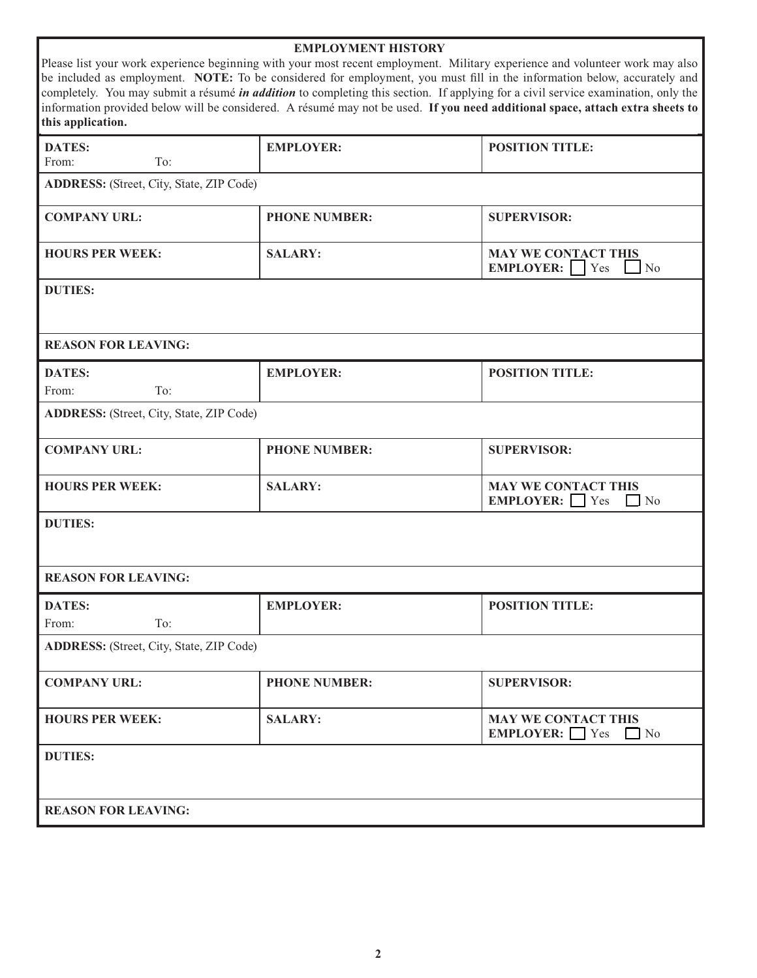| <b>EMPLOYMENT HISTORY</b><br>Please list your work experience beginning with your most recent employment. Military experience and volunteer work may also<br>be included as employment. NOTE: To be considered for employment, you must fill in the information below, accurately and<br>completely. You may submit a résumé <i>in addition</i> to completing this section. If applying for a civil service examination, only the<br>information provided below will be considered. A résumé may not be used. If you need additional space, attach extra sheets to<br>this application. |                      |                                                                        |
|-----------------------------------------------------------------------------------------------------------------------------------------------------------------------------------------------------------------------------------------------------------------------------------------------------------------------------------------------------------------------------------------------------------------------------------------------------------------------------------------------------------------------------------------------------------------------------------------|----------------------|------------------------------------------------------------------------|
| <b>DATES:</b><br>From:<br>To:                                                                                                                                                                                                                                                                                                                                                                                                                                                                                                                                                           | <b>EMPLOYER:</b>     | <b>POSITION TITLE:</b>                                                 |
| <b>ADDRESS:</b> (Street, City, State, ZIP Code)                                                                                                                                                                                                                                                                                                                                                                                                                                                                                                                                         |                      |                                                                        |
| <b>COMPANY URL:</b>                                                                                                                                                                                                                                                                                                                                                                                                                                                                                                                                                                     | <b>PHONE NUMBER:</b> | <b>SUPERVISOR:</b>                                                     |
| <b>HOURS PER WEEK:</b>                                                                                                                                                                                                                                                                                                                                                                                                                                                                                                                                                                  | <b>SALARY:</b>       | <b>MAY WE CONTACT THIS</b><br><b>EMPLOYER:</b>   Yes<br>N <sub>o</sub> |
| <b>DUTIES:</b>                                                                                                                                                                                                                                                                                                                                                                                                                                                                                                                                                                          |                      |                                                                        |
| <b>REASON FOR LEAVING:</b>                                                                                                                                                                                                                                                                                                                                                                                                                                                                                                                                                              |                      |                                                                        |
| <b>DATES:</b><br>To:<br>From:                                                                                                                                                                                                                                                                                                                                                                                                                                                                                                                                                           | <b>EMPLOYER:</b>     | <b>POSITION TITLE:</b>                                                 |
| <b>ADDRESS:</b> (Street, City, State, ZIP Code)                                                                                                                                                                                                                                                                                                                                                                                                                                                                                                                                         |                      |                                                                        |
| <b>COMPANY URL:</b>                                                                                                                                                                                                                                                                                                                                                                                                                                                                                                                                                                     | <b>PHONE NUMBER:</b> | <b>SUPERVISOR:</b>                                                     |
| <b>HOURS PER WEEK:</b>                                                                                                                                                                                                                                                                                                                                                                                                                                                                                                                                                                  | <b>SALARY:</b>       | <b>MAY WE CONTACT THIS</b><br><b>EMPLOYER:</b> Yes<br>$\Box$ No        |
| <b>DUTIES:</b>                                                                                                                                                                                                                                                                                                                                                                                                                                                                                                                                                                          |                      |                                                                        |
| <b>REASON FOR LEAVING:</b>                                                                                                                                                                                                                                                                                                                                                                                                                                                                                                                                                              |                      |                                                                        |
| <b>DATES:</b><br>To:<br>From:                                                                                                                                                                                                                                                                                                                                                                                                                                                                                                                                                           | <b>EMPLOYER:</b>     | <b>POSITION TITLE:</b>                                                 |
| <b>ADDRESS:</b> (Street, City, State, ZIP Code)                                                                                                                                                                                                                                                                                                                                                                                                                                                                                                                                         |                      |                                                                        |
| <b>COMPANY URL:</b>                                                                                                                                                                                                                                                                                                                                                                                                                                                                                                                                                                     | <b>PHONE NUMBER:</b> | <b>SUPERVISOR:</b>                                                     |
| <b>HOURS PER WEEK:</b>                                                                                                                                                                                                                                                                                                                                                                                                                                                                                                                                                                  | <b>SALARY:</b>       | <b>MAY WE CONTACT THIS</b><br>EMPLOYER: $\Box$ Yes<br>$\Box$ No        |
| <b>DUTIES:</b>                                                                                                                                                                                                                                                                                                                                                                                                                                                                                                                                                                          |                      |                                                                        |
| <b>REASON FOR LEAVING:</b>                                                                                                                                                                                                                                                                                                                                                                                                                                                                                                                                                              |                      |                                                                        |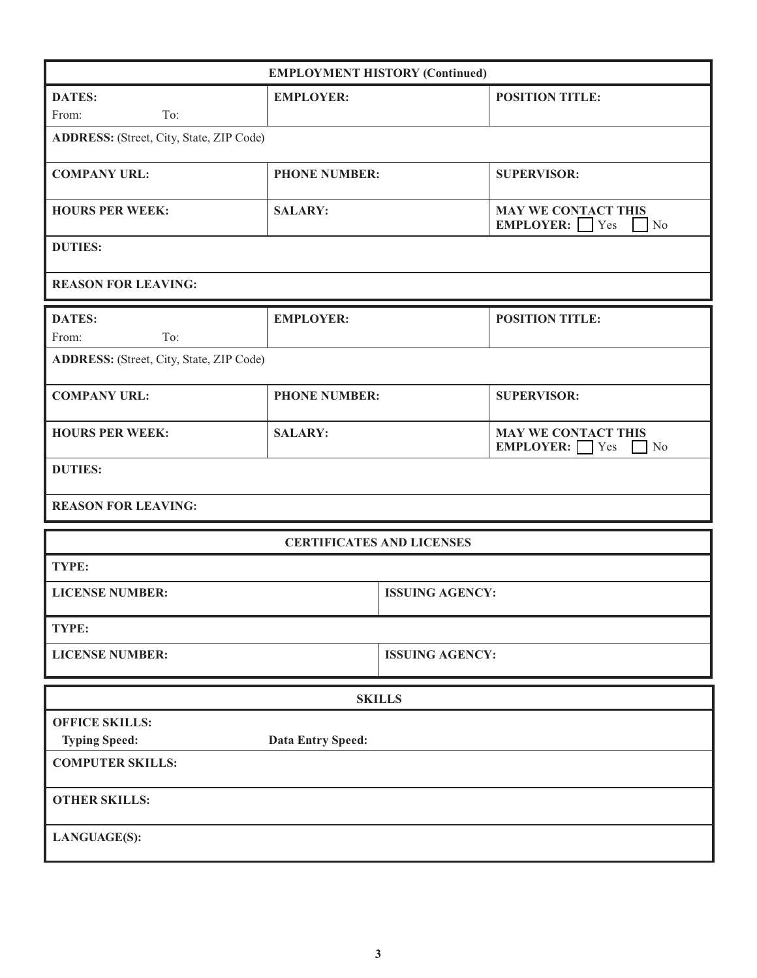| <b>EMPLOYMENT HISTORY (Continued)</b>           |                                  |                        |                                                                         |  |
|-------------------------------------------------|----------------------------------|------------------------|-------------------------------------------------------------------------|--|
| <b>DATES:</b>                                   | <b>EMPLOYER:</b>                 |                        | <b>POSITION TITLE:</b>                                                  |  |
| To:<br>From:                                    |                                  |                        |                                                                         |  |
| <b>ADDRESS:</b> (Street, City, State, ZIP Code) |                                  |                        |                                                                         |  |
| <b>COMPANY URL:</b>                             | <b>PHONE NUMBER:</b>             |                        | <b>SUPERVISOR:</b>                                                      |  |
| <b>HOURS PER WEEK:</b>                          | <b>SALARY:</b>                   |                        | <b>MAY WE CONTACT THIS</b><br><b>EMPLOYER:</b><br>N <sub>o</sub><br>Yes |  |
| <b>DUTIES:</b>                                  |                                  |                        |                                                                         |  |
| <b>REASON FOR LEAVING:</b>                      |                                  |                        |                                                                         |  |
| <b>DATES:</b>                                   | <b>EMPLOYER:</b>                 |                        | <b>POSITION TITLE:</b>                                                  |  |
| To:<br>From:                                    |                                  |                        |                                                                         |  |
| <b>ADDRESS:</b> (Street, City, State, ZIP Code) |                                  |                        |                                                                         |  |
| <b>COMPANY URL:</b>                             | <b>PHONE NUMBER:</b>             |                        | <b>SUPERVISOR:</b>                                                      |  |
| <b>HOURS PER WEEK:</b>                          | <b>SALARY:</b>                   |                        | <b>MAY WE CONTACT THIS</b><br>EMPLOYER: $\Box$ Yes<br>N <sub>o</sub>    |  |
| <b>DUTIES:</b>                                  |                                  |                        |                                                                         |  |
| <b>REASON FOR LEAVING:</b>                      |                                  |                        |                                                                         |  |
|                                                 | <b>CERTIFICATES AND LICENSES</b> |                        |                                                                         |  |
| TYPE:                                           |                                  |                        |                                                                         |  |
| <b>LICENSE NUMBER:</b>                          |                                  | <b>ISSUING AGENCY:</b> |                                                                         |  |
| TYPE:                                           |                                  |                        |                                                                         |  |
| <b>LICENSE NUMBER:</b>                          |                                  | <b>ISSUING AGENCY:</b> |                                                                         |  |
|                                                 |                                  | <b>SKILLS</b>          |                                                                         |  |
| <b>OFFICE SKILLS:</b>                           |                                  |                        |                                                                         |  |
| <b>Typing Speed:</b>                            | Data Entry Speed:                |                        |                                                                         |  |
| <b>COMPUTER SKILLS:</b>                         |                                  |                        |                                                                         |  |
| <b>OTHER SKILLS:</b>                            |                                  |                        |                                                                         |  |
| <b>LANGUAGE(S):</b>                             |                                  |                        |                                                                         |  |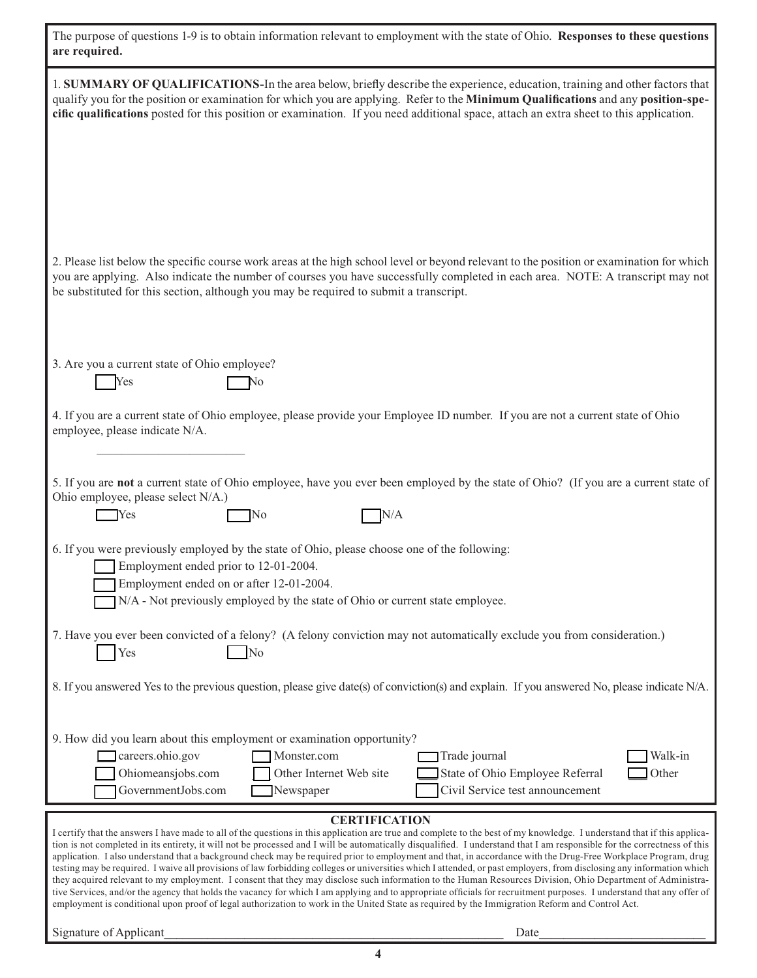| The purpose of questions 1-9 is to obtain information relevant to employment with the state of Ohio. Responses to these questions<br>are required.                                                                                                                                                                                                                                                                                                                                                                                                                                                                                                                                                                                                                                                                                                                                                                                                                                                                                                                                                                                                                                                              |
|-----------------------------------------------------------------------------------------------------------------------------------------------------------------------------------------------------------------------------------------------------------------------------------------------------------------------------------------------------------------------------------------------------------------------------------------------------------------------------------------------------------------------------------------------------------------------------------------------------------------------------------------------------------------------------------------------------------------------------------------------------------------------------------------------------------------------------------------------------------------------------------------------------------------------------------------------------------------------------------------------------------------------------------------------------------------------------------------------------------------------------------------------------------------------------------------------------------------|
| 1. SUMMARY OF QUALIFICATIONS-In the area below, briefly describe the experience, education, training and other factors that<br>qualify you for the position or examination for which you are applying. Refer to the Minimum Qualifications and any position-spe-<br>cific qualifications posted for this position or examination. If you need additional space, attach an extra sheet to this application.                                                                                                                                                                                                                                                                                                                                                                                                                                                                                                                                                                                                                                                                                                                                                                                                      |
| 2. Please list below the specific course work areas at the high school level or beyond relevant to the position or examination for which<br>you are applying. Also indicate the number of courses you have successfully completed in each area. NOTE: A transcript may not<br>be substituted for this section, although you may be required to submit a transcript.                                                                                                                                                                                                                                                                                                                                                                                                                                                                                                                                                                                                                                                                                                                                                                                                                                             |
| 3. Are you a current state of Ohio employee?<br>Yes<br>No                                                                                                                                                                                                                                                                                                                                                                                                                                                                                                                                                                                                                                                                                                                                                                                                                                                                                                                                                                                                                                                                                                                                                       |
| 4. If you are a current state of Ohio employee, please provide your Employee ID number. If you are not a current state of Ohio<br>employee, please indicate N/A.                                                                                                                                                                                                                                                                                                                                                                                                                                                                                                                                                                                                                                                                                                                                                                                                                                                                                                                                                                                                                                                |
| 5. If you are not a current state of Ohio employee, have you ever been employed by the state of Ohio? (If you are a current state of<br>Ohio employee, please select N/A.)<br>N/A<br>Yes<br>]No                                                                                                                                                                                                                                                                                                                                                                                                                                                                                                                                                                                                                                                                                                                                                                                                                                                                                                                                                                                                                 |
| 6. If you were previously employed by the state of Ohio, please choose one of the following:<br>Employment ended prior to 12-01-2004.<br>Employment ended on or after 12-01-2004.<br>N/A - Not previously employed by the state of Ohio or current state employee.                                                                                                                                                                                                                                                                                                                                                                                                                                                                                                                                                                                                                                                                                                                                                                                                                                                                                                                                              |
| 7. Have you ever been convicted of a felony? (A felony conviction may not automatically exclude you from consideration.)<br>Yes<br>No                                                                                                                                                                                                                                                                                                                                                                                                                                                                                                                                                                                                                                                                                                                                                                                                                                                                                                                                                                                                                                                                           |
| 8. If you answered Yes to the previous question, please give date(s) of conviction(s) and explain. If you answered No, please indicate N/A.                                                                                                                                                                                                                                                                                                                                                                                                                                                                                                                                                                                                                                                                                                                                                                                                                                                                                                                                                                                                                                                                     |
| 9. How did you learn about this employment or examination opportunity?<br>careers.ohio.gov<br>Monster.com<br>Trade journal<br>Walk-in<br>State of Ohio Employee Referral<br>Other<br>Ohiomeansjobs.com<br>Other Internet Web site<br>GovernmentJobs.com<br>Newspaper<br>Civil Service test announcement                                                                                                                                                                                                                                                                                                                                                                                                                                                                                                                                                                                                                                                                                                                                                                                                                                                                                                         |
| <b>CERTIFICATION</b><br>I certify that the answers I have made to all of the questions in this application are true and complete to the best of my knowledge. I understand that if this applica-<br>tion is not completed in its entirety, it will not be processed and I will be automatically disqualified. I understand that I am responsible for the correctness of this<br>application. I also understand that a background check may be required prior to employment and that, in accordance with the Drug-Free Workplace Program, drug<br>testing may be required. I waive all provisions of law forbidding colleges or universities which I attended, or past employers, from disclosing any information which<br>they acquired relevant to my employment. I consent that they may disclose such information to the Human Resources Division, Ohio Department of Administra-<br>tive Services, and/or the agency that holds the vacancy for which I am applying and to appropriate officials for recruitment purposes. I understand that any offer of<br>employment is conditional upon proof of legal authorization to work in the United State as required by the Immigration Reform and Control Act. |
| Signature of Applicant<br>Date                                                                                                                                                                                                                                                                                                                                                                                                                                                                                                                                                                                                                                                                                                                                                                                                                                                                                                                                                                                                                                                                                                                                                                                  |